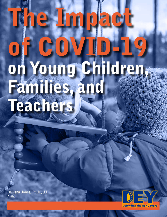# The Impact of COVID-19 on Young Children, Families, and Teachers

**Denisha Jones, Ph.D., J.D.**  Author

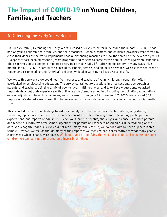# The Impact of COVID-19 on Young Children, Families, and Teachers

# **A Defending the Early Years Report**

On June 22, 2020, Defending the Early Years released a survey to better understand the impact COVID-19 has had on young children, their families, and their teachers. Schools, centers, and childcare providers were forced to close their doors as the world implemented social distancing measures to slow the spread of the new deadly virus. Except for those deemed essential, most programs had to shift to some form of online learning/remote schooling. The resulting global pandemic impacted every facet of our daily life--altering our reality in many ways. Five months later, COVID-19 continues to spread as schools, centers, and childcare providers wrestle with the need to reopen and resume educating America's children while also wanting to keep everyone safe.

We wrote this survey so we could hear from parents and teachers of young children, a population often overlooked when discussing education. The survey contained 39 questions in three sections: demographics, parents, and teachers. Utilizing a mix of open-ended, multiple-choice, and Likert scale questions, we asked respondents about their experience with online learning/remote schooling, including participation, expectations, ease of adjustment, benefits, challenges, and concerns. From June 22 to August 17, 2020, we received 559 responses. We shared a web-based link to our survey in our newsletter, on our website, and on our social media sites.

This report documents our findings based on an analysis of the responses collected. We begin by sharing the demographic data. Then we provide an overview of the online learning/remote schooling participation, expectations, and reports of adjustment. Next, we share the benefits, challenges, and concerns of both parents and teachers. Finally, we offer some suggestions for parents and teachers based on our understanding of the data. We recognize that our survey did not reach many families; thus, we do not claim to have a generalizable sample. However, we feel as though many of the responses we received are representative of what many people experienced when schools were closed. **We hope that by amplifying the voice of parents and teachers of young children, we can continue to protect and invest in childhood.**

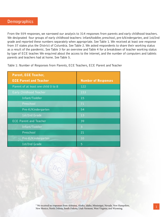From the 559 responses, we narrowed our analysis to 314 responses from parents and early childhood teachers. We designated four groups of early childhood teachers: infant/toddler, preschool, pre-k/kindergarten, and 1st/2nd grade and reported these numbers separately when appropriate. See Table 1. We received at least one response from 37 states plus the District of Columbia. See Table 2. We asked respondents to share their working status as a result of the pandemic. See Table 3 for an overview and Table 4 for a breakdown of teacher working status by type of ECE teacher. We enquired about the access to the internet, and the number of computers and tablets parents and teachers had at home. See Table 5.

Table 1: Number of Responses from Parents, ECE Teachers, ECE Parent and Teacher

| <b>Parent, ECE Teacher,</b>         |                            |
|-------------------------------------|----------------------------|
| <b>ECE Parent and Teacher</b>       | <b>Number of Responses</b> |
| Parent of at least one child 0 to 8 | 122                        |
| Early Childhood Teacher             | 153                        |
| Infant/Toddler                      | 15                         |
| Preschool                           | 71                         |
| Pre-K/Kindergarten                  | 54                         |
| 1st/2nd Grade                       | 13                         |
| <b>ECE Parent and Teacher</b>       | 39                         |
| Infant/Toddler                      | $\overline{3}$             |
| Preschool                           | 21                         |
| Pre-K/Kindergarten                  | 10                         |
| 1st/2nd Grade                       | 5                          |

<sup>1</sup> We received no responses from Alabama, Alaska, Idaho, Mississippi, Nevada, New Hampshire, New Mexico, North Dakota, South Dakota, Utah Vermont, West Virginia, and Wyoming. <sup>1</sup>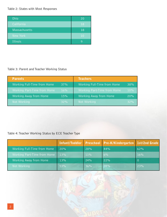### Table 2: States with Most Responses

| Ohio                 | 20 |
|----------------------|----|
| California           | 18 |
| <b>Massachusetts</b> | 18 |
| New York'            | 10 |
| Illinois             |    |

### Table 3: Parent and Teacher Working Status

| <b>Parents</b>              |     | <b>Teachers</b>             |     |
|-----------------------------|-----|-----------------------------|-----|
| Working Full-Time from Home | 37% | Working Full-Time from Home | 38% |
| Working Part-Time from Home | 16% | Working Part-Time from Home | 10% |
| Working Away from Home      | 15% | Working Away from Home      | 20% |
| Not Working                 | 32% | Not Working                 | 32% |

# Table 4: Teacher Working Status by ECE Teacher Type

|                             |     |        | Infant/Toddler Preschool Pre-K/Kindergarten 1st/2nd Grade |     |
|-----------------------------|-----|--------|-----------------------------------------------------------|-----|
| Working Full-Time from Home | 20% | 28%    | 44%                                                       | 62% |
| Working Part-Time from Home | 13% | $11\%$ | 6%                                                        | 16% |
| Working Away from Home      | 13% | 24%    | 22%                                                       |     |
| Not Working                 | 53% | 36%    | 28%                                                       | 23% |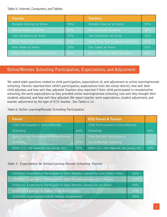### Table 5: Internet, Computers, and Tablets

| <b>Parents</b>                  |     | <b>Teachers</b>                 |     |
|---------------------------------|-----|---------------------------------|-----|
| Reliable Internet at Home       | 95% | Reliable Internet at Home       | 97% |
| One Computer at Home            | 31% | One Computer at Home            | 38% |
| Two Computers at Home           | 37% | Two Computers at Home           | 31% |
| More Than Two Computers at Home | 26% | More Than Two Computers at Home | 25% |
| One Tablet at Home              | 28% | One Tablet at Home              | 31% |
| More Than One Tablet at Home    | 41% | More Than One Tablet at Home    | 40% |

# **Online/Remote Schooling Participation, Expectations, and Adjustment**

We asked eight questions related to child participation, expectations of, and adjustment to online learning/remote schooling. Parents reported their child's participation, expectations from the school district, how well their child adjusted, and how well they adjusted. Teachers also reported if their child participated in remote/online schooling, the work expectations as they provided online learning/remote schooling, how well they thought their students adjusted, and how well they adjusted. We report teacher work expectations, student adjustment, and teacher adjustment by the type of ECE teacher. See Tables 6-12.

Table 6: Online Learning/Remote Schooling Participation

| <b>Parent</b>                               |     | <b>ECE Parent &amp; Teacher</b>             |     |
|---------------------------------------------|-----|---------------------------------------------|-----|
| Child Participated in Online/Remote         |     | Child Participated in Online/Remote         |     |
| Schooling                                   | 64% | Schooling                                   | 76% |
| Child Did Not Participate in Online/Remote  |     | Child Did Not Participate in                |     |
| Schooling                                   | 17% | Online/Remote Schooling                     | 11% |
| Other (i.e., not required, too young, etc.) | 19% | Other (i.e., not required, too young, etc.) | 14% |

Table 7: Expectations for Online/Learning Remote Schooling- Parents

| Child(ren) Expected to Participate in Daily Remote Lessons for Less Than 1 Hour | 24% |
|---------------------------------------------------------------------------------|-----|
| Child(ren) Expected to Participate in Daily Remote Lessons for 1-2 Hours        | 23% |
| Child(ren) Expected to Participate in Daily Remote Lessons for 2+ Hours         | 19% |
| Child(ren) Expected to Submit Daily Assignments                                 | 31% |
| Child(ren) Expected to Submit Weekly Assignments                                | 38% |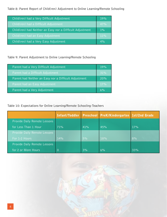Table 8: Parent Report of Child(ren) Adjustment to Online Learning/Remote Schooling

| Child(ren) had a Very Difficult Adjustment                | 19%   |
|-----------------------------------------------------------|-------|
| Child(ren) had a Difficult Adjustment                     | 47%   |
| Child(ren) had Neither an Easy nor a Difficult Adjustment | $1\%$ |
| Child(ren) had an Easy Adjustment                         | 11%   |
| Child(ren) had a Very Easy Adjustment                     | 4%    |

Table 9: Parent Adjustment to Online Learning/Remote Schooling

| Parent had a Very Difficult Adjustment                | 19% |
|-------------------------------------------------------|-----|
| Parent had a Difficult Adjustment                     | 31% |
| Parent had Neither an Easy nor a Difficult Adjustment | 20% |
| Parent had an Easy Adjustment                         | 17% |
| Parent had a Very Adjustment                          | 6%  |

Table 10: Expectations for Online Learning/Remote Schooling-Teachers

|                              |     |     | Infant/Toddler Preschool PreK/Kindergarten 1st/2nd Grade |     |
|------------------------------|-----|-----|----------------------------------------------------------|-----|
| Provide Daily Remote Lessons |     |     |                                                          |     |
| for Less Than 1 Hour         | 71% | 41% | 45%                                                      | 17% |
| Provide Daily Remote Lessons |     |     |                                                          |     |
| For 1-2 Hours                | 14% | 5%  | 18%                                                      | 8%  |
| Provide Daily Remote Lessons |     |     |                                                          |     |
| for 2 or More Hours          | O   | 3%  | 6%                                                       | 33% |

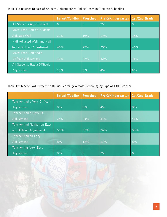### Table 11: Teacher Report of Student Adjustment to Online Learning/Remote Schooling

|                              | Infant/Toddler |                | Preschool PreK/Kindergarten 1st/2nd Grade |                |
|------------------------------|----------------|----------------|-------------------------------------------|----------------|
| All Students Adjusted Well   | $\overline{O}$ | $\overline{0}$ | 2%                                        | $\overline{0}$ |
| More Than Half of Students   |                |                |                                           |                |
| Adjusted Well                | 20%            | 19%            | 19%                                       | 15%            |
| Half Adjusted Well, and Half |                |                |                                           |                |
| had a Difficult Adjustment   | 40%            | 27%            | 33%                                       | 46%            |
| More Than Half had a         |                |                |                                           |                |
| Difficult Adjustment         | 30%            | 47%            | 42%                                       | 31%            |
| All Students Had a Difficult |                |                |                                           |                |
| Adjustment                   | 10%            | 8%             | 4%                                        | 9%             |

### Table 12: Teacher Adjustment to Online Learning/Remote Schooling by Type of ECE Teacher

|                              | Infant/Toddler | <b>Preschool</b> | <b>PreK/Kindergarten Ist/2nd Grade</b> |          |
|------------------------------|----------------|------------------|----------------------------------------|----------|
| Teacher had a Very Difficult |                |                  |                                        |          |
| Adjustment                   | 8%             | 8%               | 4%                                     | 8%       |
| Teacher had a Difficult      |                |                  |                                        |          |
| Adjustment                   | 25%            | 43%              | 51%                                    | 46%      |
| Teacher had Neither an Easy  |                |                  |                                        |          |
| nor Difficult Adjustment     | 50%            | 30%              | 26%                                    | 38%      |
| Teacher had an Easy          |                |                  |                                        |          |
| Adjustment                   | 8%             | 18%              | 17%                                    | 8%       |
| Teacher has Very Easy        |                |                  |                                        |          |
| Adjustment                   | 8%             | 0                | 2%                                     | $\Omega$ |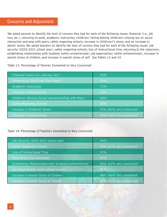We asked parents to identify the level of concern they had for each of the following issues: financial (i.e., job loss, etc.), returning to work, academic instruction, child(ren) falling behind, child(ren) missing out on social interaction and play with peers, safely reopening schools, increase in child(ren)'s stress, and an increase in adults' stress. We asked teachers to identify the level of concern they had for each of the following issues: job security (2020-2021 school year), safely reopening schools, loss of instructional time, returning to the classroom, establishing relationships with students (while online/remote), job expectations (while online/remote), increase in overall stress of children, and increase in overall stress of self. See Tables 13 and 14.

### Table 13: Percentage of Parents Somewhat to Very Concerned

| Financial Issues (i.e., job loss, etc.)               | 55%                      |
|-------------------------------------------------------|--------------------------|
| Returning to Work (not from home)                     | 59%                      |
| Academic Instruction                                  | 72%                      |
| Child(ren) Falling Behind                             | 55%                      |
| Child(ren) Missing Social Interaction/Play with Peers | 90%                      |
| <b>Safely Reopening Schools</b>                       | 87%                      |
| Increase in Child(ren) Stress                         | 91% (60% very concerned) |
| Increase in Parent Stress                             | 95% (64% very concerned) |

### Table 14: Percentage of Teachers Somewhat to Very Concerned

| Job Security (2020-2021 school year)                     | 54%                      |
|----------------------------------------------------------|--------------------------|
| <b>Safely Reopening Schools</b>                          | 94% (67% very concerned) |
| Loss of Instructional Time                               | 57%                      |
| Returning to the Classroom                               | 83%                      |
| Establishing Relationships with Students (online/remote) | 90% (62% very concerned) |
| Job Expectations (while online/remote)                   | 75%                      |
| Increase in Overall Stress of Children                   | 95% (66% very concerned) |
| Increase in Overall Stress of Teacher                    | 91% (57% very concerned) |
|                                                          |                          |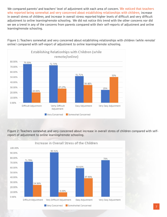We compared parents' and teachers' level of adjustment with each area of concern. **We noticed that teachers who reported being somewhat and very concerned about establishing relationships with children,** increase in overall stress of children, and increase in overall stress reported higher levels of difficult and very difficult adjustment to online learning/remote schooling. We did not notice this trend with the other concerns nor did we see a trend in any of the concerns from parents compared with their self-reports of adjustment and online learning/remote schooling.

Figure 1: Teachers somewhat and very concerned about establishing relationships with children (while remote/ online) compared with self-report of adjustment to online learning/remote schooling.



Figure 2: Teachers somewhat and very concerned about increase in overall stress of children compared with selfreport of adjustment to online learning/remote schooling.

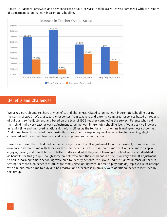Figure 3: Teachers somewhat and very concerned about increase in their overall stress compared with self-report of adjustment to online learning/remote schooling.



# **Benefits and Challenges**

We asked participants to share any benefits and challenges related to online learning/remote schooling during the spring of 2020. We analyzed the responses from teachers and parents, compared responses based on reports of child and self-adjustment, and based on the type of ECE teacher completing the survey. Parents who said their child had a very easy or easy adjustment to online learning/remote schooling identified a positive increase in family time and improved relationships with siblings as the top benefits of online learning/remote schooling. Additional benefits included more flexibility, more time to sleep, enjoyment of self-directed learning, staying connected with peers and teachers, and receiving one-on-one instruction.

Parents who said their child had neither an easy nor a difficult adjustment found the flexibility to move at their own pace and more time with family as the main benefits. Less stress, more time spent outside, more sleep, and enjoying having children at home to better understand what they were learning at school were also identified as benefits for this group. Though some parents who said their child had a difficult or very difficult adjustment to online learning/remote schooling were able to identify benefits, this group had the highest number of parents stating there were no benefits at all. More family time, an increase in time to play outside, improved relationships with siblings, more time to play and be creative, and a decrease in anxiety were additional benefits identified by this group.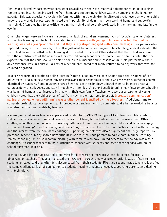Challenges shared by parents were consistent regardless of their self-reported adjustment to online learning/ remote schooling. Balancing working from home and supporting children was the number one challenge for parents. This was especially prevalent in families with multiple children in different grade levels or with one child under the age of 4. Several parents noted the impossibility of doing their own work at home and supporting their child. Often they had to prioritize helping their child and do their work early in the morning and late in the evening.

Other challenges were an increase in screen time, lack of social engagement, lack of focus/engagement/interest with online learning, and technology-related issues. **Parents with younger children reported that online learning was not age-appropriate and that they rarely stayed engaged with Zoom meetings.** For parents who reported having a difficult or very difficult adjustment to online learning/remote schooling, several indicated that their child lacked the self-directed learning skills needed to succeed. Others stated that their child was bored with the repetitiveness of the online work or resisted doing schoolwork at home. Some parents noted that the expectation that the child should be able to complete numerous online lessons on multiple platforms without any assistance was unrealistic. Parents of older children noted that many refused to do any work that was not counted or graded.

Teachers' reports of benefits to online learning/remote schooling were consistent across their reports of selfadjustment. Learning new technology and improving their technological skills was the most significant benefit identified by teachers. Some teachers shared how the use of technology allowed them to be more creative, collaborate with colleagues, and stay in touch with families. Another benefit to online learning/remote schooling was being at home and an increase in time with their own family. Teachers who were also parents of young children noted that their children benefited from having them at home to assist. **Increased communication/ partnership/engagement with family was another benefit identified by many teachers.** Additional time to complete professional development, an improved work environment, no commute, and a better work-life balance was also identified as benefits by teachers.

We analyzed challenges teachers experienced related to COVID-19 by type of ECE teachers. Many infant/ toddler teachers reported financial issues as a result of being laid off while their center was closed. Other challenges for this group included connecting with parents and families, keeping children and families engaged with online learning/remote schooling, and connecting to children. For preschool teachers, issues with technology and the internet were the dominant challenge. Supporting parents was also a significant challenge reported by preschool teachers. Many shared how difficult it was to encourage parents to participate in online learning/ remote schooling. Others said communicating with families who have limited access to technology was also a challenge. Preschool teachers found it difficult to connect with students and keep them engaged with online schooling/remote learning.

Technology and internet access and supporting families were the more prevalent challenges for pre-k/ kindergarten teachers. They also indicated the increase in screen time was problematic, it was difficult to keep students engaged, and they often felt disconnected from their students. First and second-grade teachers identified the same challenges: lack of connection to students, keeping students engaged, supporting parents, and dealing with technology.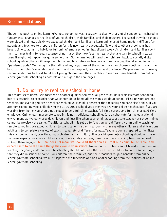### **Recommendations**

Though the push to online learning/remote schooling was necessary to deal with a global pandemic, it ushered in fundamental changes to the lives of young children, their families, and their teachers. The speed at which schools were closed and how quickly we expected children and families to learn online or at home made it difficult for parents and teachers to prepare children for this new reality adequately. Now that another school year has begun, time to adjust to hybrid or full online/remote schooling has slipped away. As children and families spent their summer trying to regain a sense of normalcy, they now face the reality that a return to schooling as we knew it might not happen for quite some time. Some families will send their children back to socially distant schooling while others will keep them home and hire tutors or teachers and replace traditional schooling with "pandemic pods." We recognize that all families, regardless of the option they can choose, continue to want the best for their child's education and health and need support, resources, and guidance. We propose the following recommendations to assist families of young children and their teachers to reap as many benefits from online learning/remote schooling as possible and mitigate the challenges.

# **1. Do not try to replicate school at home.**

This might seem unrealistic faced with another quarter, semester, or year of online learning/remote schooling, but it is essential to recognize that we cannot do at home all the things we do at school. First, parents are not teachers and even if you are a teacher, teaching your child is different than teaching someone else's child. If you are homeschooling your child during the 2020-2021 school year, then you are your child's teacher, but if you are working from home, you should not expect to be a full-time teacher, full-time parent, and full-time or part-time employee. Online learning/remote schooling is not traditional schooling. It is a substitute for the educational environment we typically provide children and, just like when your child has a substitute teacher at school, things cannot be precisely the same. Traditional schooling is set up to function very differently than online teaching/ remote schooling. We expect children to spend an entire day in a room with many other children and at least one adult and to complete a variety of tasks in a variety of different formats. Teachers come prepared to facilitate this environment, and, over time, many children adjust to it. Online teaching/remote schooling should not have the same expectations. Yes, children are at home all day, and yes, parents who are working from home need to keep them engaged, **but that does not mean we should sit them down in front of a computer or tablet and expect them to do the same things they would do in school.** In-person instruction cannot transform into online teaching for young children. Remote schooling should not mean that we expect children to do the same things that they did in school at home. For children, their families, and their teachers to gain benefits from online learning/remote schooling, we must separate the functions of traditional schooling from the realities of online learning/remote schooling.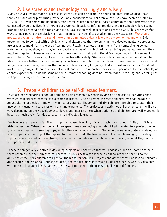# **2. Use screens and technology sparingly and wisely.**

Many of us are aware that an increase in screen use can be harmful to young children. But we also know that Zoom and other platforms provide valuable connections for children whose lives have been disrupted by COVID-19. Even before the pandemic, many families used technology-based communication platforms to stay connected when they lived in different geographical locations. Infants, toddlers, and preschoolers love seeing grandma and grandpa on the tablet, and many love seeing their teachers and peers as well. Thus, we must find ways to incorporate these platforms that maximize their benefits but also limit their exposure. **We should not expect young children to spend more than 30 minutes a day, a few days a week, on technology.** Brief opportunities to connect with their teacher and classmates that are engaging and developmentally appropriate are crucial to maximizing the use of technology. Reading stories, sharing items from home, singing songs, watching a puppet show, and playing are good examples of how technology can bring young learners and their teachers together. However, we must keep these sessions brief and optional. We know not all children want or need to be on Zoom every day. Even if the teacher offers daily 30-minutes class meetings, families should be able to decide whether to attend as many or as few as their child can handle each week. We do not recommend longer remote schooling sessions that include online teaching for young children. Just as we did not (or should not) expect young children to sit still at a desk and listen to a teacher for extended periods of time in schools, we cannot expect them to do the same at home. Remote schooling does not mean that all teaching and learning has to happen through direct online instruction.

# **3. Prepare children to be self-directed learners.**

If we are not replicating school at home and using technology sparingly and only for certain activities, then we must help children become self-directed learners. By self-directed, we mean children who can engage in an activity for a block of time with minimal assistance. The amount of time children are able to sustain their involvement usually gets longer with age and experience. The projects and activities children engage in will also vary depending on their developmental levels and interests. But when activities and children are well-matched, it becomes much easier for kids to become self-directed learners.

For teachers and parents familiar with project-based learning, this approach likely sounds similar, but it is an at-home version. When in school, children spend time completing a variety of tasks related to a project theme. Some work together in small groups, while others work independently. Some do the same activities, while others work on parts of the project that appeal to them the most. The teacher scaffolds their learning by providing support where needed, and eventually, the project culminates with a whole group sharing of what they learned with parents and families.

Teachers can get very creative in designing projects and activities that will engage children at home and help them become more self-directed as learners. It works best when teachers collaborate with parents so the activities chosen for children are right for them and for families. Projects and activities will be less complicated and shorter in duration for younger children, and can get more involved as kids get older. A weekly video chat with parents is a good idea so activities stay well-matched to the needs of children and families.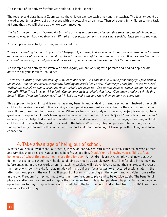An example of an activity for four-year olds could look like this:

The teacher and class have a Zoom call so the children can see each other and the teacher. The teacher could do a read-aloud, tell a story, act out a scene with puppets, sing a song, etc. Then s/he could tell children to do a task at home that they will share at the next zoom meeting:

*Find a box in your house, decorate the box with crayons or paper and glue and find something to hide in the box. When we meet in class next time, we will look at your boxes and try to guess what's inside. Then you can show us!* 

An example of an activity for five-year olds could be:

*Today I am reading the book to you called Abiyoyo. After class, find some material in your house--it could be paper and markers, or playdough, or something else-- to show a part of the book you really like. When we meet again, we can read the book again and you can show us what you made and tell us what part of the book you like.*

An example of an activity for seven-year olds (again, you are working with parents and finding appropriate activities for your families) could be:

*We've been learning about all kinds of vehicles in our class. Can you make a vehicle from things you find around the house? You can use boxes, cardboard, building materials like Legos, whatever you can find. It can be a real vehicle like a truck or plane, or an imaginary vehicle you make up. Can anyone make a vehicle that moves on the ground? What if you blow it with a fan? Can anyone make a vehicle that flies? Can anyone make a vehicle that floats? What if you put "passengers" on it? Let's all make one and share them in our next zoom chat.* 

This approach to teaching and learning has many benefits and is ideal for remote schooling. Instead of expecting children to receive hours of online teaching a week passively, we must reconceptualize the curriculum to allow for children to learn on their own at home. When teachers work closely with parents, project learning can be a great way to support children's learning and engagement with others. Through Q and A and class "discussions" on video, we can help children reflect on what they do and assess it. This this kind of engaged learning will help children build the skills they need to succeed in the future. When we go beyond pure remote learning, we can find opportunity even within this pandemic to support children in meaningful learning, skill-building, and social connection.

# **4. Take advantage of being out of school.**

Whether your child loved school or hated it, if they do not have to return this quarter, semester, or year, parents and families should seek to reap as many benefits as possible. **In addition to knowing your child is safe at home, out-of-school time must mean more time for play!** All children learn through play and, now that they do not have to go to school, they should be playing as much as possible every day. Time for play in the morning before engaging in project work or online teaching sessions will help children channel their energy and process their emotions. Long breaks for play midday will help children focus better for structured sessions later in the afternoon. And play in the evening will support children in processing all the lessons and activities from earlier in the day. Freedom from school must result in more freedom to play and to be outside safely. The benefits of play are endless and we can best mitigate the challenges from this global pandemic by providing an increase in opportunities to play. Imagine how great it would be if the best memory children had from COVID-19 was there was more time for play!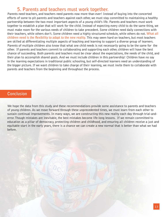# **5. Parents and teachers must work together.**

Parents need teachers, and teachers need parents now more than ever! Instead of buying into the concerted efforts of some to pit parents and teachers against each other, we must stay committed to maintaining a healthy partnership between the two most important aspects of a young child's life. Parents and teachers must work together to establish a plan that will work for the child. Instead of expecting every child to do the same thing, we must make room for the various needs of children to take precedent. Some children need daily connections with their teachers, while others don't. Some children need a highly structured schedule, while others do not. **What all children need is the flexibility to adapt to the new reality.** This may seem hard on teachers, but most teachers are skilled at differentiating multiple aspects of teaching and learning to support a diverse group of learners. Parents of multiple children also know that what one child needs is not necessarily going to be the same for the other. If parents and teachers commit to collaborating and supporting each other, children will have the best chance of succeeding. Both parents and teachers must be clear about the expectations, the needs of the child, and their plan to accomplish shared goals. And we must include children in this partnership! Children have no say in the learning expectations in traditional public schooling, but self-directed learners need an understanding of the bigger picture. If we want children to take charge of their learning, we must invite them to collaborate with parents and teachers from the beginning and throughout the process.

### **Conclusion**

We hope the data from this study and these recommendations provide some assistance to parents and teachers of young children. As we move forward through these unprecedented times, we must learn from each other to sustain continual improvements. In many ways, we are constructing this new reality each day through trial-anderror. Though mistakes are inevitable, the best mistakes become life-long lessons. If we remain committed to education as a pillar of democracy, protecting children and childhood, and ensuring all children receive a just and equitable start in the early years, there is a chance we can create a new normal that is better than what we had before.